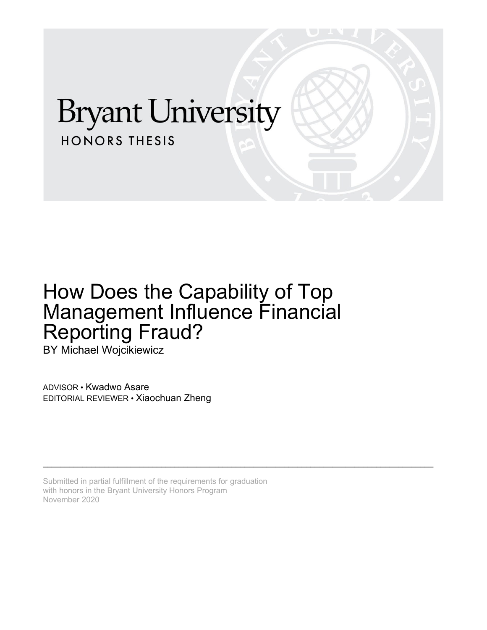# **Bryant University HONORS THESIS**

## How Does the Capability of Top Management Influence Financial Reporting Fraud?

\_\_\_\_\_\_\_\_\_\_\_\_\_\_\_\_\_\_\_\_\_\_\_\_\_\_\_\_\_\_\_\_\_\_\_\_\_\_\_\_\_\_\_\_\_\_\_\_\_\_\_\_\_\_\_\_\_\_\_\_\_\_\_\_\_\_\_\_\_\_\_\_\_\_\_\_\_\_\_\_\_\_\_\_\_\_\_\_\_

BY Michael Wojcikiewicz

ADVISOR • Kwadwo Asare EDITORIAL REVIEWER • Xiaochuan Zheng

Submitted in partial fulfillment of the requirements for graduation with honors in the Bryant University Honors Program November 2020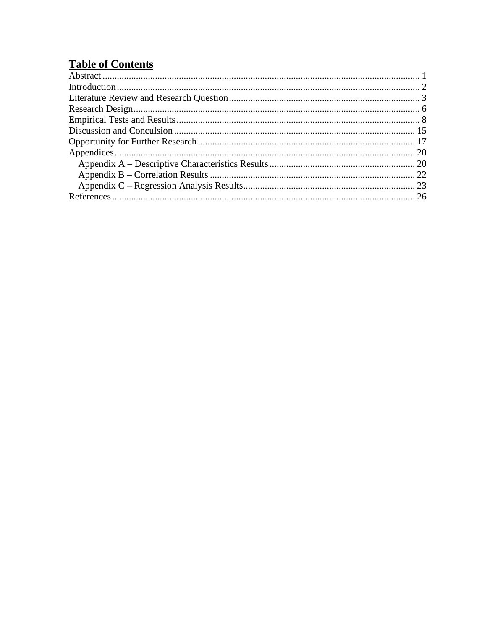## **Table of Contents**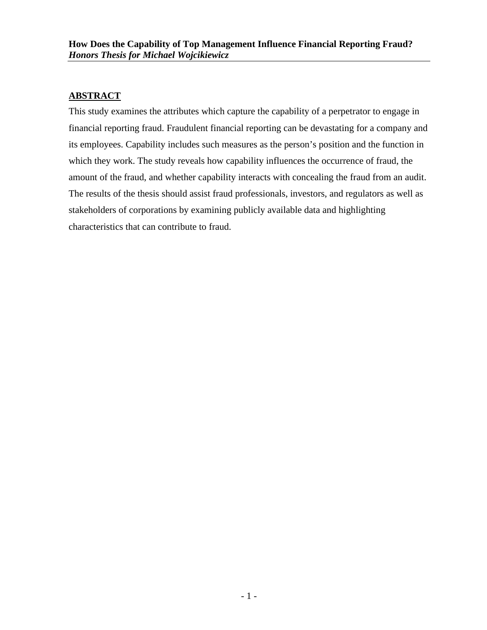#### <span id="page-2-0"></span>**ABSTRACT**

This study examines the attributes which capture the capability of a perpetrator to engage in financial reporting fraud. Fraudulent financial reporting can be devastating for a company and its employees. Capability includes such measures as the person's position and the function in which they work. The study reveals how capability influences the occurrence of fraud, the amount of the fraud, and whether capability interacts with concealing the fraud from an audit. The results of the thesis should assist fraud professionals, investors, and regulators as well as stakeholders of corporations by examining publicly available data and highlighting characteristics that can contribute to fraud.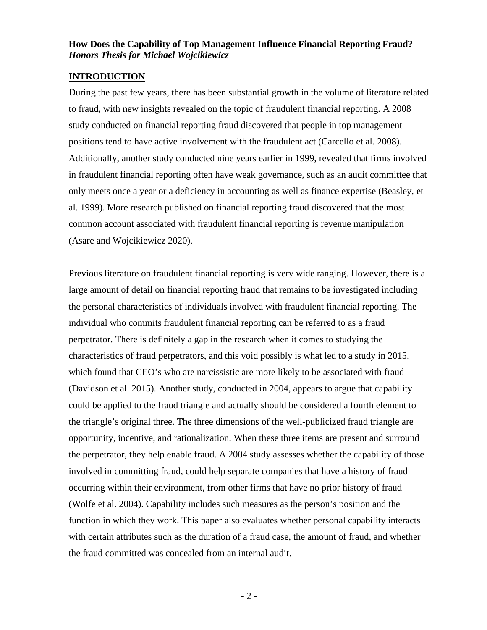#### <span id="page-3-0"></span>**INTRODUCTION**

During the past few years, there has been substantial growth in the volume of literature related to fraud, with new insights revealed on the topic of fraudulent financial reporting. A 2008 study conducted on financial reporting fraud discovered that people in top management positions tend to have active involvement with the fraudulent act (Carcello et al. 2008). Additionally, another study conducted nine years earlier in 1999, revealed that firms involved in fraudulent financial reporting often have weak governance, such as an audit committee that only meets once a year or a deficiency in accounting as well as finance expertise (Beasley, et al. 1999). More research published on financial reporting fraud discovered that the most common account associated with fraudulent financial reporting is revenue manipulation (Asare and Wojcikiewicz 2020).

Previous literature on fraudulent financial reporting is very wide ranging. However, there is a large amount of detail on financial reporting fraud that remains to be investigated including the personal characteristics of individuals involved with fraudulent financial reporting. The individual who commits fraudulent financial reporting can be referred to as a fraud perpetrator. There is definitely a gap in the research when it comes to studying the characteristics of fraud perpetrators, and this void possibly is what led to a study in 2015, which found that CEO's who are narcissistic are more likely to be associated with fraud (Davidson et al. 2015). Another study, conducted in 2004, appears to argue that capability could be applied to the fraud triangle and actually should be considered a fourth element to the triangle's original three. The three dimensions of the well-publicized fraud triangle are opportunity, incentive, and rationalization. When these three items are present and surround the perpetrator, they help enable fraud. A 2004 study assesses whether the capability of those involved in committing fraud, could help separate companies that have a history of fraud occurring within their environment, from other firms that have no prior history of fraud (Wolfe et al. 2004). Capability includes such measures as the person's position and the function in which they work. This paper also evaluates whether personal capability interacts with certain attributes such as the duration of a fraud case, the amount of fraud, and whether the fraud committed was concealed from an internal audit.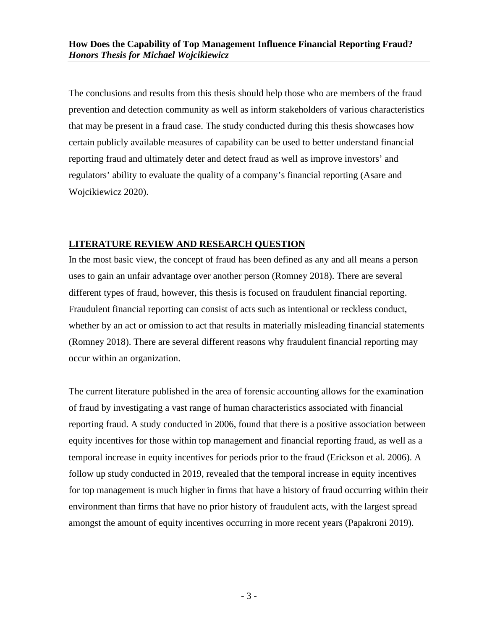The conclusions and results from this thesis should help those who are members of the fraud prevention and detection community as well as inform stakeholders of various characteristics that may be present in a fraud case. The study conducted during this thesis showcases how certain publicly available measures of capability can be used to better understand financial reporting fraud and ultimately deter and detect fraud as well as improve investors' and regulators' ability to evaluate the quality of a company's financial reporting (Asare and Wojcikiewicz 2020).

#### <span id="page-4-0"></span>**LITERATURE REVIEW AND RESEARCH QUESTION**

In the most basic view, the concept of fraud has been defined as any and all means a person uses to gain an unfair advantage over another person (Romney 2018). There are several different types of fraud, however, this thesis is focused on fraudulent financial reporting. Fraudulent financial reporting can consist of acts such as intentional or reckless conduct, whether by an act or omission to act that results in materially misleading financial statements (Romney 2018). There are several different reasons why fraudulent financial reporting may occur within an organization.

The current literature published in the area of forensic accounting allows for the examination of fraud by investigating a vast range of human characteristics associated with financial reporting fraud. A study conducted in 2006, found that there is a positive association between equity incentives for those within top management and financial reporting fraud, as well as a temporal increase in equity incentives for periods prior to the fraud (Erickson et al. 2006). A follow up study conducted in 2019, revealed that the temporal increase in equity incentives for top management is much higher in firms that have a history of fraud occurring within their environment than firms that have no prior history of fraudulent acts, with the largest spread amongst the amount of equity incentives occurring in more recent years (Papakroni 2019).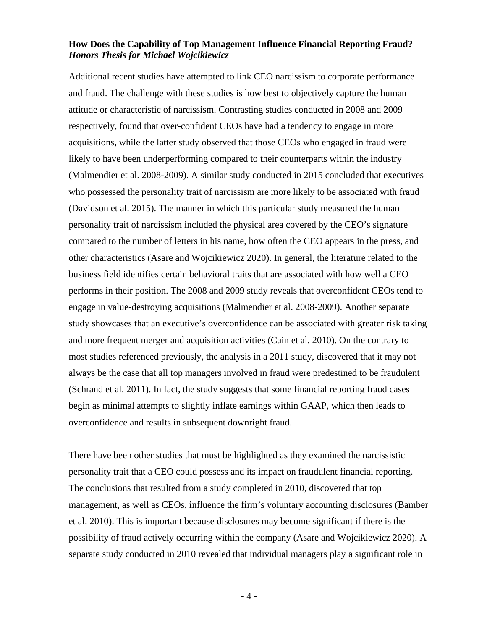Additional recent studies have attempted to link CEO narcissism to corporate performance and fraud. The challenge with these studies is how best to objectively capture the human attitude or characteristic of narcissism. Contrasting studies conducted in 2008 and 2009 respectively, found that over-confident CEOs have had a tendency to engage in more acquisitions, while the latter study observed that those CEOs who engaged in fraud were likely to have been underperforming compared to their counterparts within the industry (Malmendier et al. 2008-2009). A similar study conducted in 2015 concluded that executives who possessed the personality trait of narcissism are more likely to be associated with fraud (Davidson et al. 2015). The manner in which this particular study measured the human personality trait of narcissism included the physical area covered by the CEO's signature compared to the number of letters in his name, how often the CEO appears in the press, and other characteristics (Asare and Wojcikiewicz 2020). In general, the literature related to the business field identifies certain behavioral traits that are associated with how well a CEO performs in their position. The 2008 and 2009 study reveals that overconfident CEOs tend to engage in value-destroying acquisitions (Malmendier et al. 2008-2009). Another separate study showcases that an executive's overconfidence can be associated with greater risk taking and more frequent merger and acquisition activities (Cain et al. 2010). On the contrary to most studies referenced previously, the analysis in a 2011 study, discovered that it may not always be the case that all top managers involved in fraud were predestined to be fraudulent (Schrand et al. 2011). In fact, the study suggests that some financial reporting fraud cases begin as minimal attempts to slightly inflate earnings within GAAP, which then leads to overconfidence and results in subsequent downright fraud.

There have been other studies that must be highlighted as they examined the narcissistic personality trait that a CEO could possess and its impact on fraudulent financial reporting. The conclusions that resulted from a study completed in 2010, discovered that top management, as well as CEOs, influence the firm's voluntary accounting disclosures (Bamber et al. 2010). This is important because disclosures may become significant if there is the possibility of fraud actively occurring within the company (Asare and Wojcikiewicz 2020). A separate study conducted in 2010 revealed that individual managers play a significant role in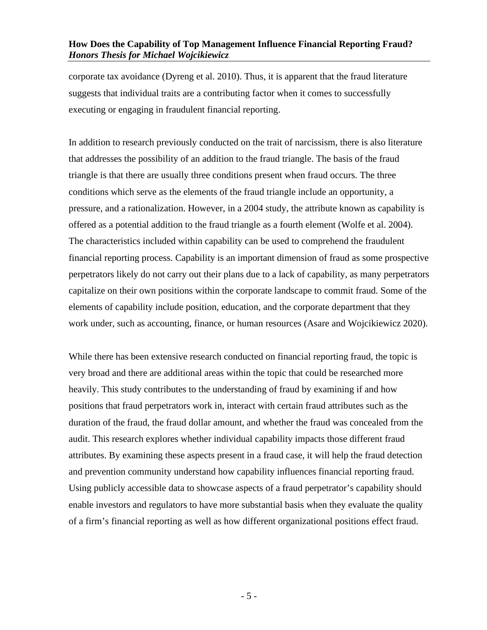corporate tax avoidance (Dyreng et al. 2010). Thus, it is apparent that the fraud literature suggests that individual traits are a contributing factor when it comes to successfully executing or engaging in fraudulent financial reporting.

In addition to research previously conducted on the trait of narcissism, there is also literature that addresses the possibility of an addition to the fraud triangle. The basis of the fraud triangle is that there are usually three conditions present when fraud occurs. The three conditions which serve as the elements of the fraud triangle include an opportunity, a pressure, and a rationalization. However, in a 2004 study, the attribute known as capability is offered as a potential addition to the fraud triangle as a fourth element (Wolfe et al. 2004). The characteristics included within capability can be used to comprehend the fraudulent financial reporting process. Capability is an important dimension of fraud as some prospective perpetrators likely do not carry out their plans due to a lack of capability, as many perpetrators capitalize on their own positions within the corporate landscape to commit fraud. Some of the elements of capability include position, education, and the corporate department that they work under, such as accounting, finance, or human resources (Asare and Wojcikiewicz 2020).

While there has been extensive research conducted on financial reporting fraud, the topic is very broad and there are additional areas within the topic that could be researched more heavily. This study contributes to the understanding of fraud by examining if and how positions that fraud perpetrators work in, interact with certain fraud attributes such as the duration of the fraud, the fraud dollar amount, and whether the fraud was concealed from the audit. This research explores whether individual capability impacts those different fraud attributes. By examining these aspects present in a fraud case, it will help the fraud detection and prevention community understand how capability influences financial reporting fraud. Using publicly accessible data to showcase aspects of a fraud perpetrator's capability should enable investors and regulators to have more substantial basis when they evaluate the quality of a firm's financial reporting as well as how different organizational positions effect fraud.

- 5 -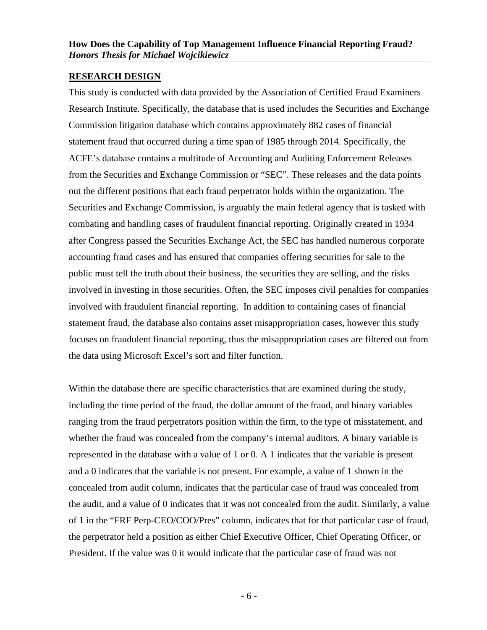#### <span id="page-7-0"></span>**RESEARCH DESIGN**

This study is conducted with data provided by the Association of Certified Fraud Examiners Research Institute. Specifically, the database that is used includes the Securities and Exchange Commission litigation database which contains approximately 882 cases of financial statement fraud that occurred during a time span of 1985 through 2014. Specifically, the ACFE's database contains a multitude of Accounting and Auditing Enforcement Releases from the Securities and Exchange Commission or "SEC". These releases and the data points out the different positions that each fraud perpetrator holds within the organization. The Securities and Exchange Commission, is arguably the main federal agency that is tasked with combating and handling cases of fraudulent financial reporting. Originally created in 1934 after Congress passed the Securities Exchange Act, the SEC has handled numerous corporate accounting fraud cases and has ensured that companies offering securities for sale to the public must tell the truth about their business, the securities they are selling, and the risks involved in investing in those securities. Often, the SEC imposes civil penalties for companies involved with fraudulent financial reporting. In addition to containing cases of financial statement fraud, the database also contains asset misappropriation cases, however this study focuses on fraudulent financial reporting, thus the misappropriation cases are filtered out from the data using Microsoft Excel's sort and filter function.

Within the database there are specific characteristics that are examined during the study, including the time period of the fraud, the dollar amount of the fraud, and binary variables ranging from the fraud perpetrators position within the firm, to the type of misstatement, and whether the fraud was concealed from the company's internal auditors. A binary variable is represented in the database with a value of 1 or 0. A 1 indicates that the variable is present and a 0 indicates that the variable is not present. For example, a value of 1 shown in the concealed from audit column, indicates that the particular case of fraud was concealed from the audit, and a value of 0 indicates that it was not concealed from the audit. Similarly, a value of 1 in the "FRF Perp-CEO/COO/Pres" column, indicates that for that particular case of fraud, the perpetrator held a position as either Chief Executive Officer, Chief Operating Officer, or President. If the value was 0 it would indicate that the particular case of fraud was not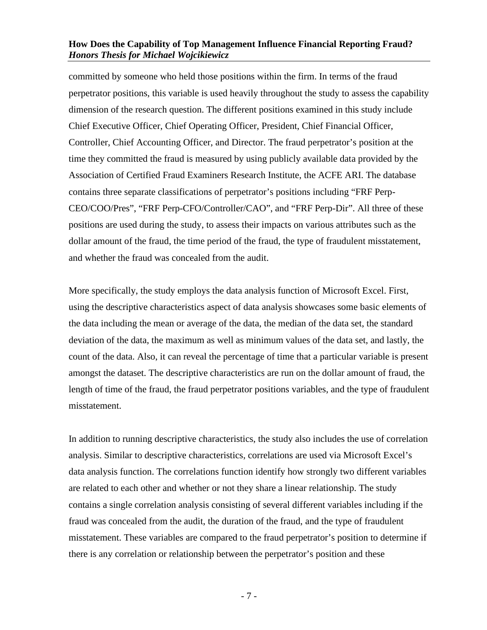committed by someone who held those positions within the firm. In terms of the fraud perpetrator positions, this variable is used heavily throughout the study to assess the capability dimension of the research question. The different positions examined in this study include Chief Executive Officer, Chief Operating Officer, President, Chief Financial Officer, Controller, Chief Accounting Officer, and Director. The fraud perpetrator's position at the time they committed the fraud is measured by using publicly available data provided by the Association of Certified Fraud Examiners Research Institute, the ACFE ARI. The database contains three separate classifications of perpetrator's positions including "FRF Perp-CEO/COO/Pres", "FRF Perp-CFO/Controller/CAO", and "FRF Perp-Dir". All three of these positions are used during the study, to assess their impacts on various attributes such as the dollar amount of the fraud, the time period of the fraud, the type of fraudulent misstatement, and whether the fraud was concealed from the audit.

More specifically, the study employs the data analysis function of Microsoft Excel. First, using the descriptive characteristics aspect of data analysis showcases some basic elements of the data including the mean or average of the data, the median of the data set, the standard deviation of the data, the maximum as well as minimum values of the data set, and lastly, the count of the data. Also, it can reveal the percentage of time that a particular variable is present amongst the dataset. The descriptive characteristics are run on the dollar amount of fraud, the length of time of the fraud, the fraud perpetrator positions variables, and the type of fraudulent misstatement.

In addition to running descriptive characteristics, the study also includes the use of correlation analysis. Similar to descriptive characteristics, correlations are used via Microsoft Excel's data analysis function. The correlations function identify how strongly two different variables are related to each other and whether or not they share a linear relationship. The study contains a single correlation analysis consisting of several different variables including if the fraud was concealed from the audit, the duration of the fraud, and the type of fraudulent misstatement. These variables are compared to the fraud perpetrator's position to determine if there is any correlation or relationship between the perpetrator's position and these

- 7 -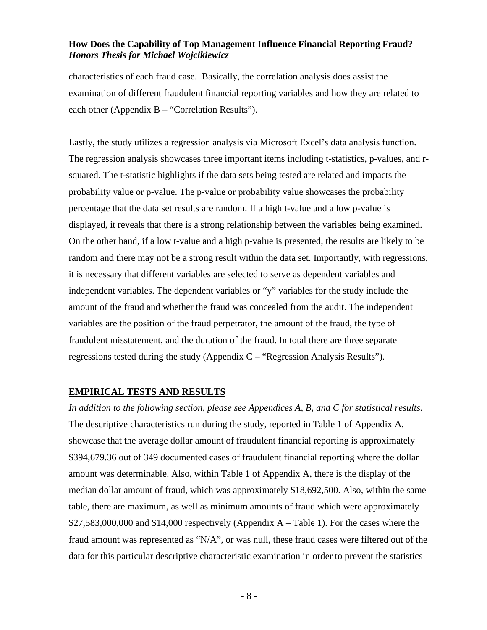characteristics of each fraud case. Basically, the correlation analysis does assist the examination of different fraudulent financial reporting variables and how they are related to each other (Appendix B – "Correlation Results").

Lastly, the study utilizes a regression analysis via Microsoft Excel's data analysis function. The regression analysis showcases three important items including t-statistics, p-values, and rsquared. The t-statistic highlights if the data sets being tested are related and impacts the probability value or p-value. The p-value or probability value showcases the probability percentage that the data set results are random. If a high t-value and a low p-value is displayed, it reveals that there is a strong relationship between the variables being examined. On the other hand, if a low t-value and a high p-value is presented, the results are likely to be random and there may not be a strong result within the data set. Importantly, with regressions, it is necessary that different variables are selected to serve as dependent variables and independent variables. The dependent variables or "y" variables for the study include the amount of the fraud and whether the fraud was concealed from the audit. The independent variables are the position of the fraud perpetrator, the amount of the fraud, the type of fraudulent misstatement, and the duration of the fraud. In total there are three separate regressions tested during the study (Appendix C – "Regression Analysis Results").

#### <span id="page-9-0"></span>**EMPIRICAL TESTS AND RESULTS**

*In addition to the following section, please see Appendices A, B, and C for statistical results.* The descriptive characteristics run during the study, reported in Table 1 of Appendix A, showcase that the average dollar amount of fraudulent financial reporting is approximately \$394,679.36 out of 349 documented cases of fraudulent financial reporting where the dollar amount was determinable. Also, within Table 1 of Appendix A, there is the display of the median dollar amount of fraud, which was approximately \$18,692,500. Also, within the same table, there are maximum, as well as minimum amounts of fraud which were approximately \$27,583,000,000 and \$14,000 respectively (Appendix A – Table 1). For the cases where the fraud amount was represented as "N/A", or was null, these fraud cases were filtered out of the data for this particular descriptive characteristic examination in order to prevent the statistics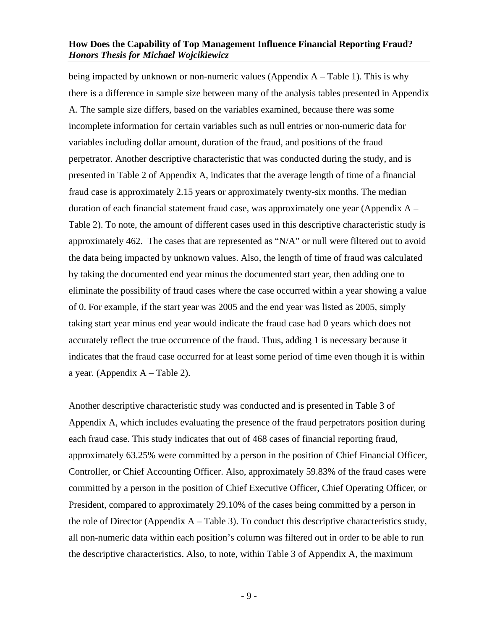being impacted by unknown or non-numeric values (Appendix A – Table 1). This is why there is a difference in sample size between many of the analysis tables presented in Appendix A. The sample size differs, based on the variables examined, because there was some incomplete information for certain variables such as null entries or non-numeric data for variables including dollar amount, duration of the fraud, and positions of the fraud perpetrator. Another descriptive characteristic that was conducted during the study, and is presented in Table 2 of Appendix A, indicates that the average length of time of a financial fraud case is approximately 2.15 years or approximately twenty-six months. The median duration of each financial statement fraud case, was approximately one year (Appendix A – Table 2). To note, the amount of different cases used in this descriptive characteristic study is approximately 462. The cases that are represented as "N/A" or null were filtered out to avoid the data being impacted by unknown values. Also, the length of time of fraud was calculated by taking the documented end year minus the documented start year, then adding one to eliminate the possibility of fraud cases where the case occurred within a year showing a value of 0. For example, if the start year was 2005 and the end year was listed as 2005, simply taking start year minus end year would indicate the fraud case had 0 years which does not accurately reflect the true occurrence of the fraud. Thus, adding 1 is necessary because it indicates that the fraud case occurred for at least some period of time even though it is within a year. (Appendix  $A$  – Table 2).

Another descriptive characteristic study was conducted and is presented in Table 3 of Appendix A, which includes evaluating the presence of the fraud perpetrators position during each fraud case. This study indicates that out of 468 cases of financial reporting fraud, approximately 63.25% were committed by a person in the position of Chief Financial Officer, Controller, or Chief Accounting Officer. Also, approximately 59.83% of the fraud cases were committed by a person in the position of Chief Executive Officer, Chief Operating Officer, or President, compared to approximately 29.10% of the cases being committed by a person in the role of Director (Appendix  $A - Table 3$ ). To conduct this descriptive characteristics study, all non-numeric data within each position's column was filtered out in order to be able to run the descriptive characteristics. Also, to note, within Table 3 of Appendix A, the maximum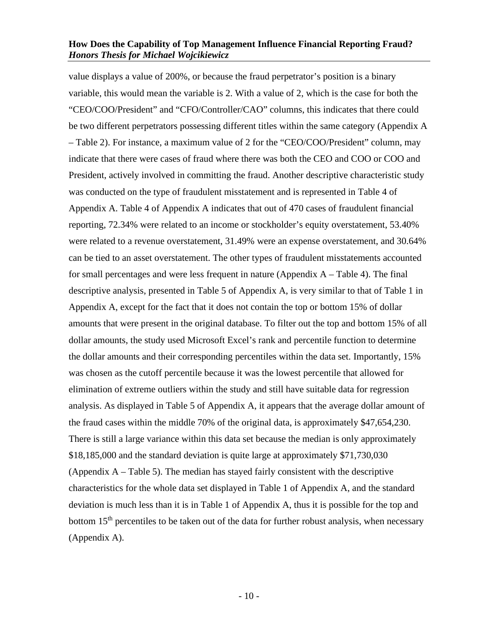value displays a value of 200%, or because the fraud perpetrator's position is a binary variable, this would mean the variable is 2. With a value of 2, which is the case for both the "CEO/COO/President" and "CFO/Controller/CAO" columns, this indicates that there could be two different perpetrators possessing different titles within the same category (Appendix A – Table 2). For instance, a maximum value of 2 for the "CEO/COO/President" column, may indicate that there were cases of fraud where there was both the CEO and COO or COO and President, actively involved in committing the fraud. Another descriptive characteristic study was conducted on the type of fraudulent misstatement and is represented in Table 4 of Appendix A. Table 4 of Appendix A indicates that out of 470 cases of fraudulent financial reporting, 72.34% were related to an income or stockholder's equity overstatement, 53.40% were related to a revenue overstatement, 31.49% were an expense overstatement, and 30.64% can be tied to an asset overstatement. The other types of fraudulent misstatements accounted for small percentages and were less frequent in nature (Appendix A – Table 4). The final descriptive analysis, presented in Table 5 of Appendix A, is very similar to that of Table 1 in Appendix A, except for the fact that it does not contain the top or bottom 15% of dollar amounts that were present in the original database. To filter out the top and bottom 15% of all dollar amounts, the study used Microsoft Excel's rank and percentile function to determine the dollar amounts and their corresponding percentiles within the data set. Importantly, 15% was chosen as the cutoff percentile because it was the lowest percentile that allowed for elimination of extreme outliers within the study and still have suitable data for regression analysis. As displayed in Table 5 of Appendix A, it appears that the average dollar amount of the fraud cases within the middle 70% of the original data, is approximately \$47,654,230. There is still a large variance within this data set because the median is only approximately \$18,185,000 and the standard deviation is quite large at approximately \$71,730,030 (Appendix A – Table 5). The median has stayed fairly consistent with the descriptive characteristics for the whole data set displayed in Table 1 of Appendix A, and the standard deviation is much less than it is in Table 1 of Appendix A, thus it is possible for the top and bottom 15<sup>th</sup> percentiles to be taken out of the data for further robust analysis, when necessary (Appendix A).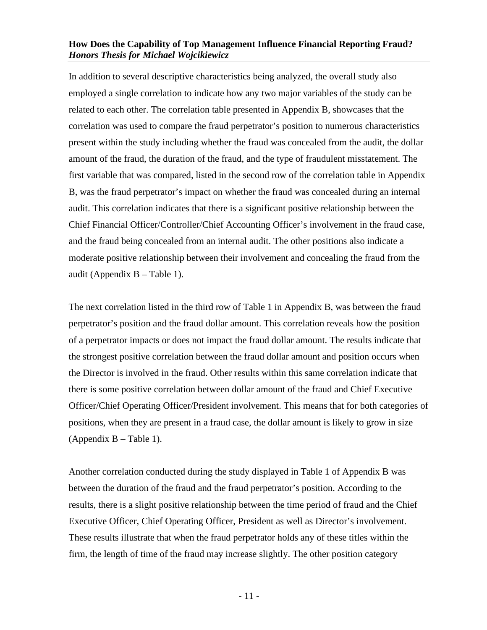In addition to several descriptive characteristics being analyzed, the overall study also employed a single correlation to indicate how any two major variables of the study can be related to each other. The correlation table presented in Appendix B, showcases that the correlation was used to compare the fraud perpetrator's position to numerous characteristics present within the study including whether the fraud was concealed from the audit, the dollar amount of the fraud, the duration of the fraud, and the type of fraudulent misstatement. The first variable that was compared, listed in the second row of the correlation table in Appendix B, was the fraud perpetrator's impact on whether the fraud was concealed during an internal audit. This correlation indicates that there is a significant positive relationship between the Chief Financial Officer/Controller/Chief Accounting Officer's involvement in the fraud case, and the fraud being concealed from an internal audit. The other positions also indicate a moderate positive relationship between their involvement and concealing the fraud from the audit (Appendix  $B - Table 1$ ).

The next correlation listed in the third row of Table 1 in Appendix B, was between the fraud perpetrator's position and the fraud dollar amount. This correlation reveals how the position of a perpetrator impacts or does not impact the fraud dollar amount. The results indicate that the strongest positive correlation between the fraud dollar amount and position occurs when the Director is involved in the fraud. Other results within this same correlation indicate that there is some positive correlation between dollar amount of the fraud and Chief Executive Officer/Chief Operating Officer/President involvement. This means that for both categories of positions, when they are present in a fraud case, the dollar amount is likely to grow in size  $(A$ ppendix  $B - Table 1$ ).

Another correlation conducted during the study displayed in Table 1 of Appendix B was between the duration of the fraud and the fraud perpetrator's position. According to the results, there is a slight positive relationship between the time period of fraud and the Chief Executive Officer, Chief Operating Officer, President as well as Director's involvement. These results illustrate that when the fraud perpetrator holds any of these titles within the firm, the length of time of the fraud may increase slightly. The other position category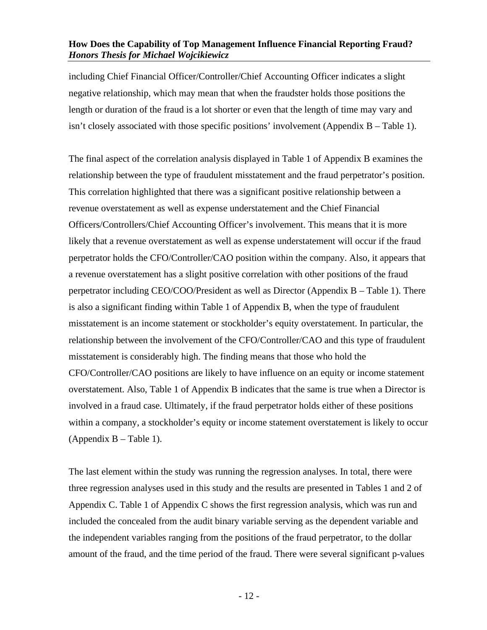including Chief Financial Officer/Controller/Chief Accounting Officer indicates a slight negative relationship, which may mean that when the fraudster holds those positions the length or duration of the fraud is a lot shorter or even that the length of time may vary and isn't closely associated with those specific positions' involvement (Appendix B – Table 1).

The final aspect of the correlation analysis displayed in Table 1 of Appendix B examines the relationship between the type of fraudulent misstatement and the fraud perpetrator's position. This correlation highlighted that there was a significant positive relationship between a revenue overstatement as well as expense understatement and the Chief Financial Officers/Controllers/Chief Accounting Officer's involvement. This means that it is more likely that a revenue overstatement as well as expense understatement will occur if the fraud perpetrator holds the CFO/Controller/CAO position within the company. Also, it appears that a revenue overstatement has a slight positive correlation with other positions of the fraud perpetrator including CEO/COO/President as well as Director (Appendix B – Table 1). There is also a significant finding within Table 1 of Appendix B, when the type of fraudulent misstatement is an income statement or stockholder's equity overstatement. In particular, the relationship between the involvement of the CFO/Controller/CAO and this type of fraudulent misstatement is considerably high. The finding means that those who hold the CFO/Controller/CAO positions are likely to have influence on an equity or income statement overstatement. Also, Table 1 of Appendix B indicates that the same is true when a Director is involved in a fraud case. Ultimately, if the fraud perpetrator holds either of these positions within a company, a stockholder's equity or income statement overstatement is likely to occur  $(A$ ppendix  $B - Table 1$ ).

The last element within the study was running the regression analyses. In total, there were three regression analyses used in this study and the results are presented in Tables 1 and 2 of Appendix C. Table 1 of Appendix C shows the first regression analysis, which was run and included the concealed from the audit binary variable serving as the dependent variable and the independent variables ranging from the positions of the fraud perpetrator, to the dollar amount of the fraud, and the time period of the fraud. There were several significant p-values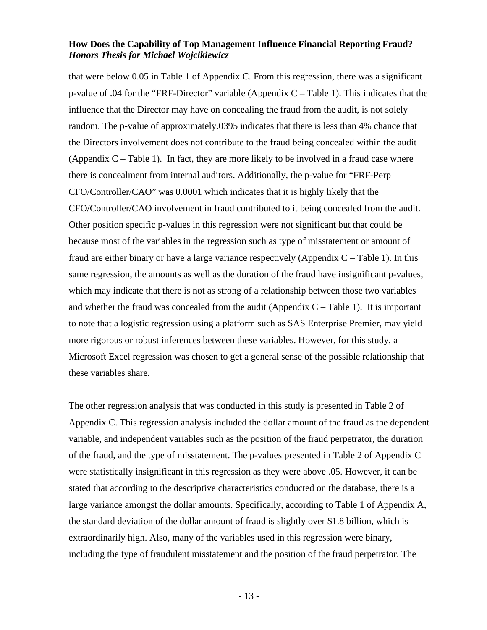that were below 0.05 in Table 1 of Appendix C. From this regression, there was a significant p-value of .04 for the "FRF-Director" variable (Appendix  $C -$  Table 1). This indicates that the influence that the Director may have on concealing the fraud from the audit, is not solely random. The p-value of approximately.0395 indicates that there is less than 4% chance that the Directors involvement does not contribute to the fraud being concealed within the audit (Appendix  $C - Table 1$ ). In fact, they are more likely to be involved in a fraud case where there is concealment from internal auditors. Additionally, the p-value for "FRF-Perp CFO/Controller/CAO" was 0.0001 which indicates that it is highly likely that the CFO/Controller/CAO involvement in fraud contributed to it being concealed from the audit. Other position specific p-values in this regression were not significant but that could be because most of the variables in the regression such as type of misstatement or amount of fraud are either binary or have a large variance respectively (Appendix  $C -$ Table 1). In this same regression, the amounts as well as the duration of the fraud have insignificant p-values, which may indicate that there is not as strong of a relationship between those two variables and whether the fraud was concealed from the audit (Appendix  $C -$ Table 1). It is important to note that a logistic regression using a platform such as SAS Enterprise Premier, may yield more rigorous or robust inferences between these variables. However, for this study, a Microsoft Excel regression was chosen to get a general sense of the possible relationship that these variables share.

The other regression analysis that was conducted in this study is presented in Table 2 of Appendix C. This regression analysis included the dollar amount of the fraud as the dependent variable, and independent variables such as the position of the fraud perpetrator, the duration of the fraud, and the type of misstatement. The p-values presented in Table 2 of Appendix C were statistically insignificant in this regression as they were above .05. However, it can be stated that according to the descriptive characteristics conducted on the database, there is a large variance amongst the dollar amounts. Specifically, according to Table 1 of Appendix A, the standard deviation of the dollar amount of fraud is slightly over \$1.8 billion, which is extraordinarily high. Also, many of the variables used in this regression were binary, including the type of fraudulent misstatement and the position of the fraud perpetrator. The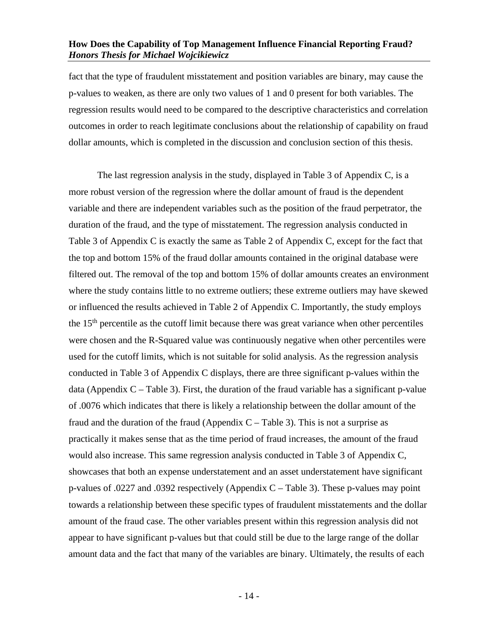fact that the type of fraudulent misstatement and position variables are binary, may cause the p-values to weaken, as there are only two values of 1 and 0 present for both variables. The regression results would need to be compared to the descriptive characteristics and correlation outcomes in order to reach legitimate conclusions about the relationship of capability on fraud dollar amounts, which is completed in the discussion and conclusion section of this thesis.

The last regression analysis in the study, displayed in Table 3 of Appendix C, is a more robust version of the regression where the dollar amount of fraud is the dependent variable and there are independent variables such as the position of the fraud perpetrator, the duration of the fraud, and the type of misstatement. The regression analysis conducted in Table 3 of Appendix C is exactly the same as Table 2 of Appendix C, except for the fact that the top and bottom 15% of the fraud dollar amounts contained in the original database were filtered out. The removal of the top and bottom 15% of dollar amounts creates an environment where the study contains little to no extreme outliers; these extreme outliers may have skewed or influenced the results achieved in Table 2 of Appendix C. Importantly, the study employs the 15<sup>th</sup> percentile as the cutoff limit because there was great variance when other percentiles were chosen and the R-Squared value was continuously negative when other percentiles were used for the cutoff limits, which is not suitable for solid analysis. As the regression analysis conducted in Table 3 of Appendix C displays, there are three significant p-values within the data (Appendix  $C - Table 3$ ). First, the duration of the fraud variable has a significant p-value of .0076 which indicates that there is likely a relationship between the dollar amount of the fraud and the duration of the fraud (Appendix  $C -$  Table 3). This is not a surprise as practically it makes sense that as the time period of fraud increases, the amount of the fraud would also increase. This same regression analysis conducted in Table 3 of Appendix C, showcases that both an expense understatement and an asset understatement have significant p-values of .0227 and .0392 respectively (Appendix C – Table 3). These p-values may point towards a relationship between these specific types of fraudulent misstatements and the dollar amount of the fraud case. The other variables present within this regression analysis did not appear to have significant p-values but that could still be due to the large range of the dollar amount data and the fact that many of the variables are binary. Ultimately, the results of each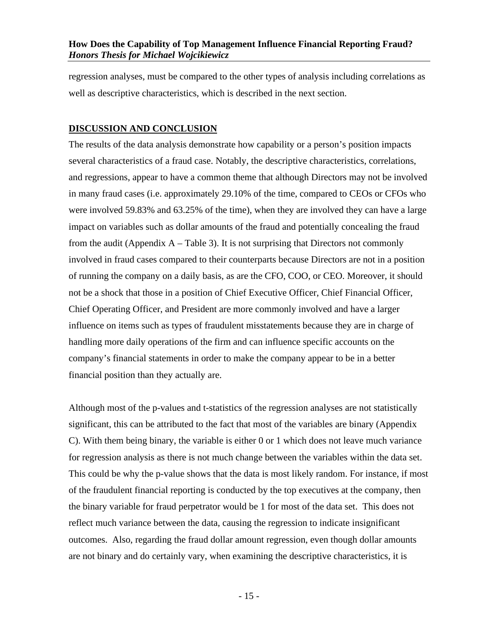regression analyses, must be compared to the other types of analysis including correlations as well as descriptive characteristics, which is described in the next section.

#### <span id="page-16-0"></span>**DISCUSSION AND CONCLUSION**

The results of the data analysis demonstrate how capability or a person's position impacts several characteristics of a fraud case. Notably, the descriptive characteristics, correlations, and regressions, appear to have a common theme that although Directors may not be involved in many fraud cases (i.e. approximately 29.10% of the time, compared to CEOs or CFOs who were involved 59.83% and 63.25% of the time), when they are involved they can have a large impact on variables such as dollar amounts of the fraud and potentially concealing the fraud from the audit (Appendix  $A - Table 3$ ). It is not surprising that Directors not commonly involved in fraud cases compared to their counterparts because Directors are not in a position of running the company on a daily basis, as are the CFO, COO, or CEO. Moreover, it should not be a shock that those in a position of Chief Executive Officer, Chief Financial Officer, Chief Operating Officer, and President are more commonly involved and have a larger influence on items such as types of fraudulent misstatements because they are in charge of handling more daily operations of the firm and can influence specific accounts on the company's financial statements in order to make the company appear to be in a better financial position than they actually are.

Although most of the p-values and t-statistics of the regression analyses are not statistically significant, this can be attributed to the fact that most of the variables are binary (Appendix C). With them being binary, the variable is either 0 or 1 which does not leave much variance for regression analysis as there is not much change between the variables within the data set. This could be why the p-value shows that the data is most likely random. For instance, if most of the fraudulent financial reporting is conducted by the top executives at the company, then the binary variable for fraud perpetrator would be 1 for most of the data set. This does not reflect much variance between the data, causing the regression to indicate insignificant outcomes. Also, regarding the fraud dollar amount regression, even though dollar amounts are not binary and do certainly vary, when examining the descriptive characteristics, it is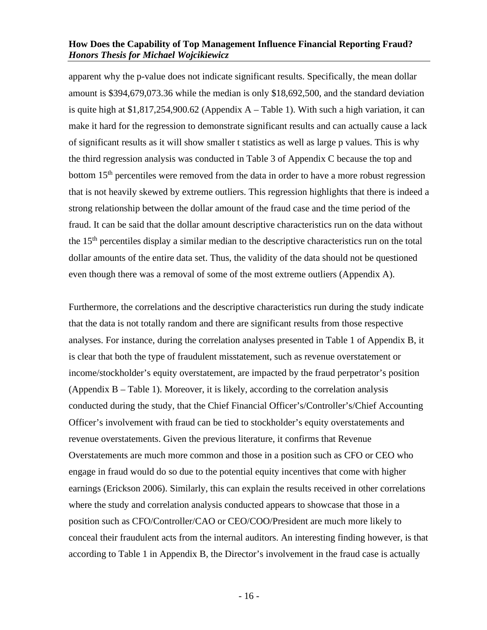apparent why the p-value does not indicate significant results. Specifically, the mean dollar amount is \$394,679,073.36 while the median is only \$18,692,500, and the standard deviation is quite high at  $$1,817,254,900.62$  (Appendix A – Table 1). With such a high variation, it can make it hard for the regression to demonstrate significant results and can actually cause a lack of significant results as it will show smaller t statistics as well as large p values. This is why the third regression analysis was conducted in Table 3 of Appendix C because the top and bottom 15<sup>th</sup> percentiles were removed from the data in order to have a more robust regression that is not heavily skewed by extreme outliers. This regression highlights that there is indeed a strong relationship between the dollar amount of the fraud case and the time period of the fraud. It can be said that the dollar amount descriptive characteristics run on the data without the 15th percentiles display a similar median to the descriptive characteristics run on the total dollar amounts of the entire data set. Thus, the validity of the data should not be questioned even though there was a removal of some of the most extreme outliers (Appendix A).

Furthermore, the correlations and the descriptive characteristics run during the study indicate that the data is not totally random and there are significant results from those respective analyses. For instance, during the correlation analyses presented in Table 1 of Appendix B, it is clear that both the type of fraudulent misstatement, such as revenue overstatement or income/stockholder's equity overstatement, are impacted by the fraud perpetrator's position (Appendix B – Table 1). Moreover, it is likely, according to the correlation analysis conducted during the study, that the Chief Financial Officer's/Controller's/Chief Accounting Officer's involvement with fraud can be tied to stockholder's equity overstatements and revenue overstatements. Given the previous literature, it confirms that Revenue Overstatements are much more common and those in a position such as CFO or CEO who engage in fraud would do so due to the potential equity incentives that come with higher earnings (Erickson 2006). Similarly, this can explain the results received in other correlations where the study and correlation analysis conducted appears to showcase that those in a position such as CFO/Controller/CAO or CEO/COO/President are much more likely to conceal their fraudulent acts from the internal auditors. An interesting finding however, is that according to Table 1 in Appendix B, the Director's involvement in the fraud case is actually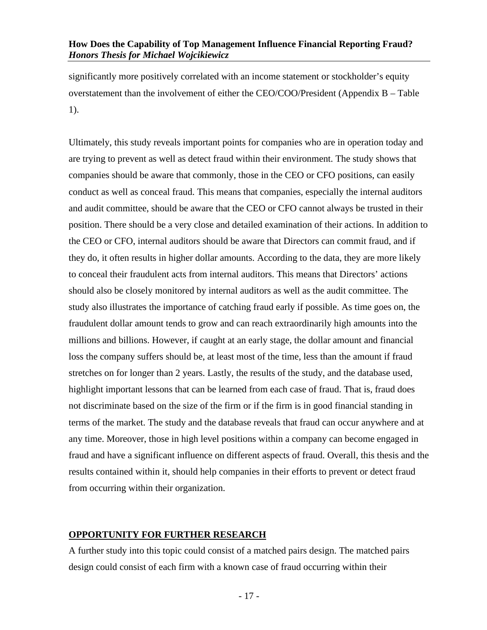significantly more positively correlated with an income statement or stockholder's equity overstatement than the involvement of either the CEO/COO/President (Appendix B – Table 1).

Ultimately, this study reveals important points for companies who are in operation today and are trying to prevent as well as detect fraud within their environment. The study shows that companies should be aware that commonly, those in the CEO or CFO positions, can easily conduct as well as conceal fraud. This means that companies, especially the internal auditors and audit committee, should be aware that the CEO or CFO cannot always be trusted in their position. There should be a very close and detailed examination of their actions. In addition to the CEO or CFO, internal auditors should be aware that Directors can commit fraud, and if they do, it often results in higher dollar amounts. According to the data, they are more likely to conceal their fraudulent acts from internal auditors. This means that Directors' actions should also be closely monitored by internal auditors as well as the audit committee. The study also illustrates the importance of catching fraud early if possible. As time goes on, the fraudulent dollar amount tends to grow and can reach extraordinarily high amounts into the millions and billions. However, if caught at an early stage, the dollar amount and financial loss the company suffers should be, at least most of the time, less than the amount if fraud stretches on for longer than 2 years. Lastly, the results of the study, and the database used, highlight important lessons that can be learned from each case of fraud. That is, fraud does not discriminate based on the size of the firm or if the firm is in good financial standing in terms of the market. The study and the database reveals that fraud can occur anywhere and at any time. Moreover, those in high level positions within a company can become engaged in fraud and have a significant influence on different aspects of fraud. Overall, this thesis and the results contained within it, should help companies in their efforts to prevent or detect fraud from occurring within their organization.

#### <span id="page-18-0"></span>**OPPORTUNITY FOR FURTHER RESEARCH**

A further study into this topic could consist of a matched pairs design. The matched pairs design could consist of each firm with a known case of fraud occurring within their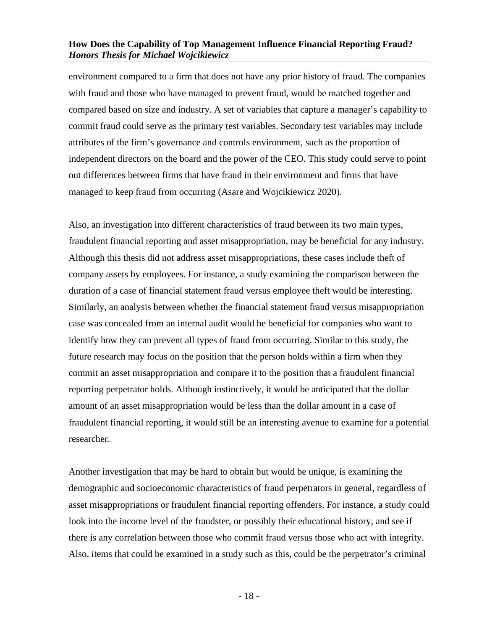environment compared to a firm that does not have any prior history of fraud. The companies with fraud and those who have managed to prevent fraud, would be matched together and compared based on size and industry. A set of variables that capture a manager's capability to commit fraud could serve as the primary test variables. Secondary test variables may include attributes of the firm's governance and controls environment, such as the proportion of independent directors on the board and the power of the CEO. This study could serve to point out differences between firms that have fraud in their environment and firms that have managed to keep fraud from occurring (Asare and Wojcikiewicz 2020).

Also, an investigation into different characteristics of fraud between its two main types, fraudulent financial reporting and asset misappropriation, may be beneficial for any industry. Although this thesis did not address asset misappropriations, these cases include theft of company assets by employees. For instance, a study examining the comparison between the duration of a case of financial statement fraud versus employee theft would be interesting. Similarly, an analysis between whether the financial statement fraud versus misappropriation case was concealed from an internal audit would be beneficial for companies who want to identify how they can prevent all types of fraud from occurring. Similar to this study, the future research may focus on the position that the person holds within a firm when they commit an asset misappropriation and compare it to the position that a fraudulent financial reporting perpetrator holds. Although instinctively, it would be anticipated that the dollar amount of an asset misappropriation would be less than the dollar amount in a case of fraudulent financial reporting, it would still be an interesting avenue to examine for a potential researcher.

Another investigation that may be hard to obtain but would be unique, is examining the demographic and socioeconomic characteristics of fraud perpetrators in general, regardless of asset misappropriations or fraudulent financial reporting offenders. For instance, a study could look into the income level of the fraudster, or possibly their educational history, and see if there is any correlation between those who commit fraud versus those who act with integrity. Also, items that could be examined in a study such as this, could be the perpetrator's criminal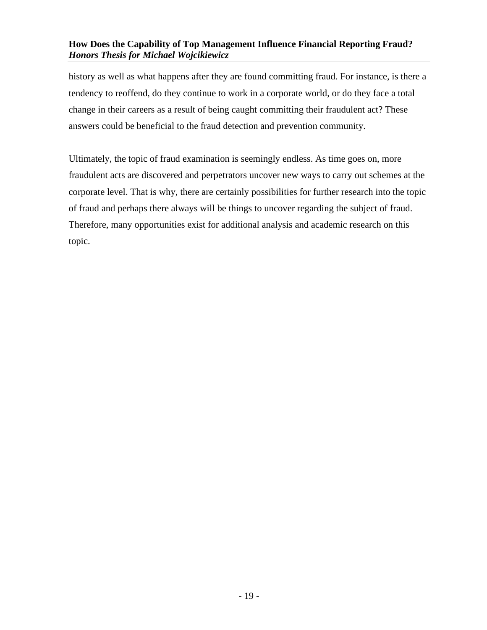history as well as what happens after they are found committing fraud. For instance, is there a tendency to reoffend, do they continue to work in a corporate world, or do they face a total change in their careers as a result of being caught committing their fraudulent act? These answers could be beneficial to the fraud detection and prevention community.

Ultimately, the topic of fraud examination is seemingly endless. As time goes on, more fraudulent acts are discovered and perpetrators uncover new ways to carry out schemes at the corporate level. That is why, there are certainly possibilities for further research into the topic of fraud and perhaps there always will be things to uncover regarding the subject of fraud. Therefore, many opportunities exist for additional analysis and academic research on this topic.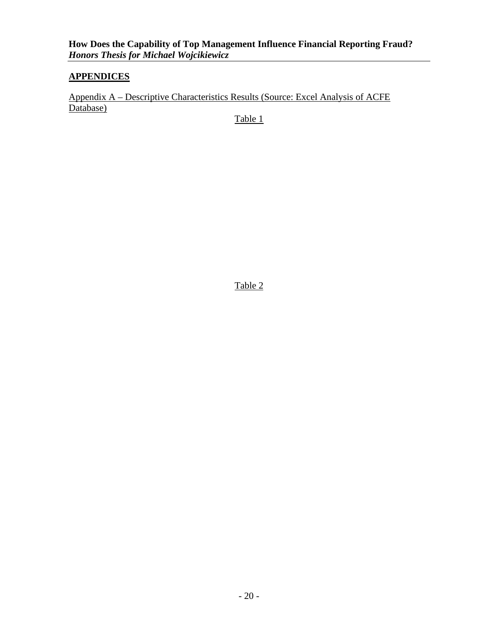#### <span id="page-21-0"></span>**APPENDICES**

<span id="page-21-1"></span>Appendix A – Descriptive Characteristics Results (Source: Excel Analysis of ACFE Database)

Table 1

Table 2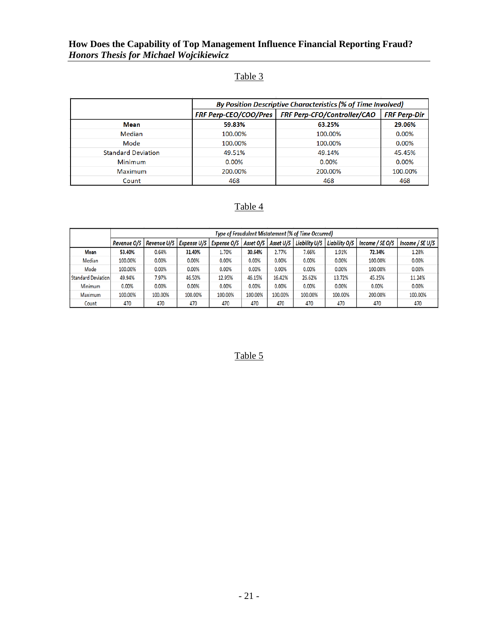## Table 3

|                           | <b>By Position Descriptive Characteristics (% of Time Involved)</b> |                                                     |                     |  |  |  |  |
|---------------------------|---------------------------------------------------------------------|-----------------------------------------------------|---------------------|--|--|--|--|
|                           |                                                                     | FRF Perp-CEO/COO/Pres   FRF Perp-CFO/Controller/CAO | <b>FRF Perp-Dir</b> |  |  |  |  |
| <b>Mean</b>               | 59.83%                                                              | 63.25%                                              | 29.06%              |  |  |  |  |
| Median                    | 100.00%                                                             | 100.00%                                             | 0.00%               |  |  |  |  |
| Mode                      | 100.00%                                                             | 100.00%                                             | $0.00\%$            |  |  |  |  |
| <b>Standard Deviation</b> | 49.51%                                                              | 49.14%                                              | 45.45%              |  |  |  |  |
| Minimum                   | 0.00%                                                               | 0.00%                                               | 0.00%               |  |  |  |  |
| Maximum                   | 200.00%                                                             | 200.00%                                             | 100.00%             |  |  |  |  |
| Count                     | 468                                                                 | 468                                                 | 468                 |  |  |  |  |

#### Table 4

|                           | <b>Type of Fraudulent Mistatement (% of Time Occurred)</b> |             |                    |               |           |           |               |                      |                 |                 |
|---------------------------|------------------------------------------------------------|-------------|--------------------|---------------|-----------|-----------|---------------|----------------------|-----------------|-----------------|
|                           | Revenue O/S                                                | Revenue U/S | <b>Expense U/S</b> | Expense $O/S$ | Asset O/S | Asset U/S | Liability U/S | <b>Liability O/S</b> | Income / SE O/S | Income / SE U/S |
| Mean                      | 53.40%                                                     | 0.64%       | 31.49%             | 1.70%         | 30.64%    | 2.77%     | 7.66%         | 1.91%                | 72.34%          | 1.28%           |
| Median                    | 100.00%                                                    | 0.00%       | 0.00%              | 0.00%         | 0.00%     | 0.00%     | 0.00%         | 0.00%                | 100.00%         | 0.00%           |
| Mode                      | 100.00%                                                    | 0.00%       | 0.00%              | 0.00%         | 0.00%     | 0.00%     | 0.00%         | 0.00%                | 100.00%         | 0.00%           |
| <b>Standard Deviation</b> | 49.94%                                                     | 7.97%       | 46.50%             | 12.95%        | 46.15%    | 16.42%    | 26.62%        | 13.72%               | 45.25%          | 11.24%          |
| Minimum                   | 0.00%                                                      | 0.00%       | 0.00%              | 0.00%         | 0.00%     | 0.00%     | 0.00%         | 0.00%                | 0.00%           | 0.00%           |
| Maximum                   | 100.00%                                                    | 100.00%     | 100.00%            | 100.00%       | 100.00%   | 100.00%   | 100.00%       | 100.00%              | 200.00%         | 100.00%         |
| Count                     | 470                                                        | 470         | 470                | 470           | 470       | 470       | 470           | 470                  | 470             | 470             |

Table 5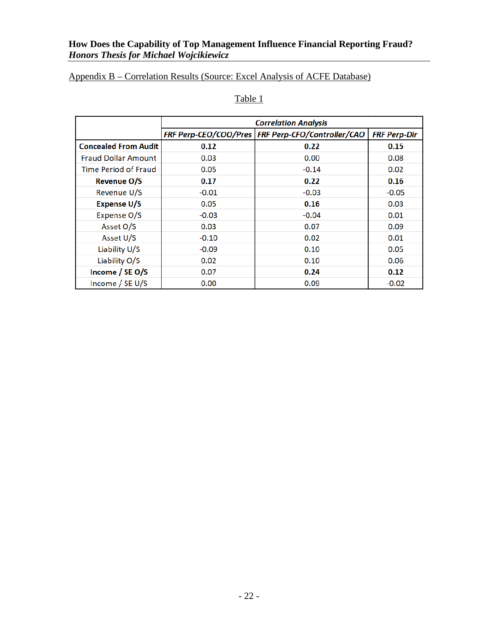## <span id="page-23-0"></span>Appendix B – Correlation Results (Source: Excel Analysis of ACFE Database)

|                             | <b>Correlation Analysis</b> |                                                     |                     |  |  |  |  |
|-----------------------------|-----------------------------|-----------------------------------------------------|---------------------|--|--|--|--|
|                             |                             | FRF Perp-CEO/COO/Pres   FRF Perp-CFO/Controller/CAO | <b>FRF Perp-Dir</b> |  |  |  |  |
| <b>Concealed From Audit</b> | 0.12                        | 0.22                                                | 0.15                |  |  |  |  |
| <b>Fraud Dollar Amount</b>  | 0.03                        | 0.00                                                | 0.08                |  |  |  |  |
| Time Period of Fraud        | 0.05                        | $-0.14$                                             | 0.02                |  |  |  |  |
| <b>Revenue O/S</b>          | 0.17                        | 0.22                                                | 0.16                |  |  |  |  |
| Revenue U/S                 | $-0.01$                     | $-0.03$                                             | $-0.05$             |  |  |  |  |
| <b>Expense U/S</b>          | 0.05                        | 0.16                                                | 0.03                |  |  |  |  |
| Expense O/S                 | $-0.03$                     | $-0.04$                                             | 0.01                |  |  |  |  |
| Asset O/S                   | 0.03                        | 0.07                                                | 0.09                |  |  |  |  |
| Asset U/S                   | $-0.10$                     | 0.02                                                | 0.01                |  |  |  |  |
| Liability U/S               | $-0.09$                     | 0.10                                                | 0.05                |  |  |  |  |
| Liability O/S               | 0.02                        | 0.10                                                | 0.06                |  |  |  |  |
| Income / SE O/S             | 0.07                        | 0.24                                                | 0.12                |  |  |  |  |
| Income / SE U/S             | 0.00                        | 0.09                                                | $-0.02$             |  |  |  |  |

## Table 1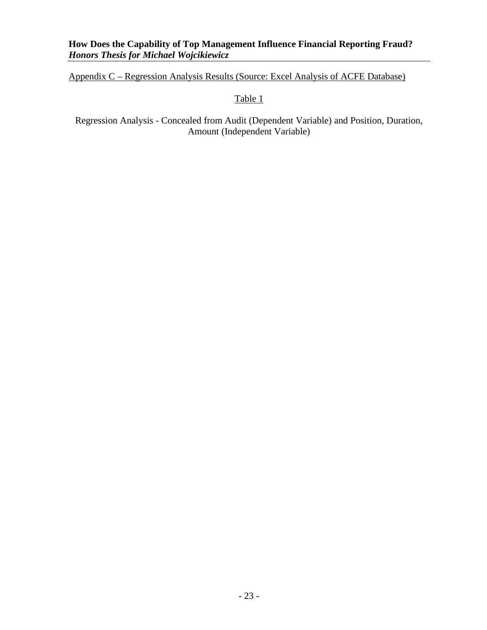<span id="page-24-0"></span>Appendix C – Regression Analysis Results (Source: Excel Analysis of ACFE Database)

Table 1

Regression Analysis - Concealed from Audit (Dependent Variable) and Position, Duration, Amount (Independent Variable)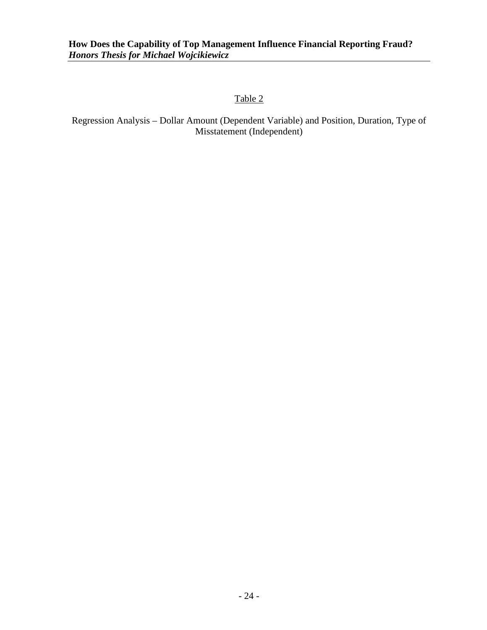#### Table 2

Regression Analysis – Dollar Amount (Dependent Variable) and Position, Duration, Type of Misstatement (Independent)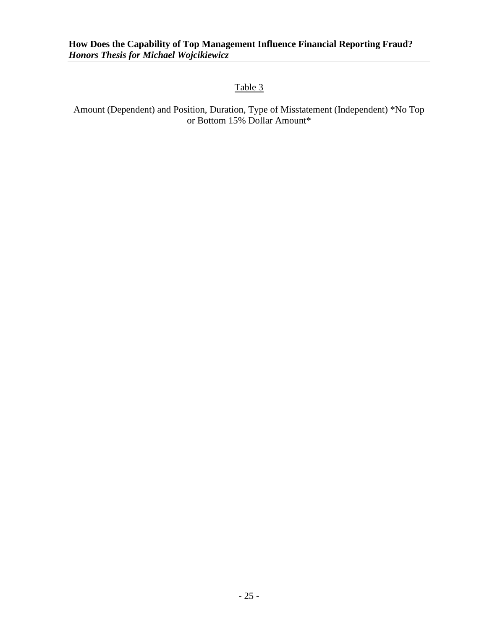#### Table 3

Amount (Dependent) and Position, Duration, Type of Misstatement (Independent) \*No Top or Bottom 15% Dollar Amount\*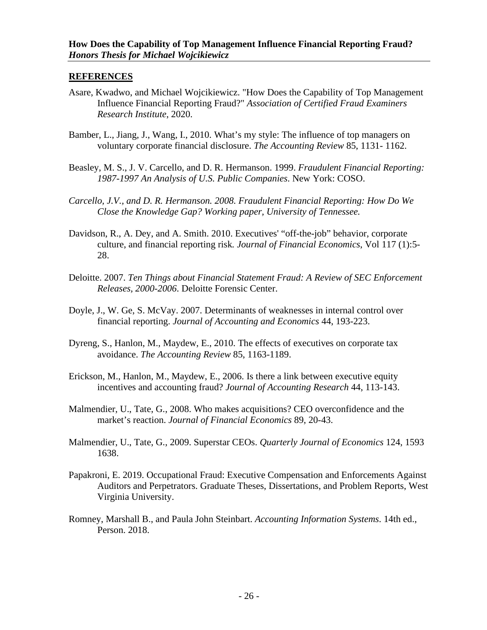#### <span id="page-27-0"></span>**REFERENCES**

- Asare, Kwadwo, and Michael Wojcikiewicz. "How Does the Capability of Top Management Influence Financial Reporting Fraud?" *Association of Certified Fraud Examiners Research Institute*, 2020.
- Bamber, L., Jiang, J., Wang, I., 2010. What's my style: The influence of top managers on voluntary corporate financial disclosure. *The Accounting Review* 85, 1131- 1162.
- Beasley, M. S., J. V. Carcello, and D. R. Hermanson. 1999. *Fraudulent Financial Reporting: 1987-1997 An Analysis of U.S. Public Companies*. New York: COSO.
- *Carcello, J.V., and D. R. Hermanson. 2008. Fraudulent Financial Reporting: How Do We Close the Knowledge Gap? Working paper, University of Tennessee.*
- Davidson, R., A. Dey, and A. Smith. 2010. Executives' "off-the-job" behavior, corporate culture, and financial reporting risk*. [Journal of Financial Economics](https://www.sciencedirect.com/science/journal/0304405X)*, Vol 117 (1):5- 28.
- Deloitte. 2007. *Ten Things about Financial Statement Fraud: A Review of SEC Enforcement Releases, 2000-2006*. Deloitte Forensic Center.
- Doyle, J., W. Ge, S. McVay. 2007. Determinants of weaknesses in internal control over financial reporting. *Journal of Accounting and Economics* 44, 193-223.
- Dyreng, S., Hanlon, M., Maydew, E., 2010. The effects of executives on corporate tax avoidance. *The Accounting Review* 85, 1163-1189.
- Erickson, M., Hanlon, M., Maydew, E., 2006. Is there a link between executive equity incentives and accounting fraud? *Journal of Accounting Research* 44, 113-143.
- Malmendier, U., Tate, G., 2008. Who makes acquisitions? CEO overconfidence and the market's reaction. *Journal of Financial Economics* 89, 20-43.
- Malmendier, U., Tate, G., 2009. Superstar CEOs. *Quarterly Journal of Economics* 124, 1593 1638.
- Papakroni, E. 2019. Occupational Fraud: Executive Compensation and Enforcements Against Auditors and Perpetrators. Graduate Theses, Dissertations, and Problem Reports, West Virginia University.
- Romney, Marshall B., and Paula John Steinbart. *Accounting Information Systems*. 14th ed., Person. 2018.